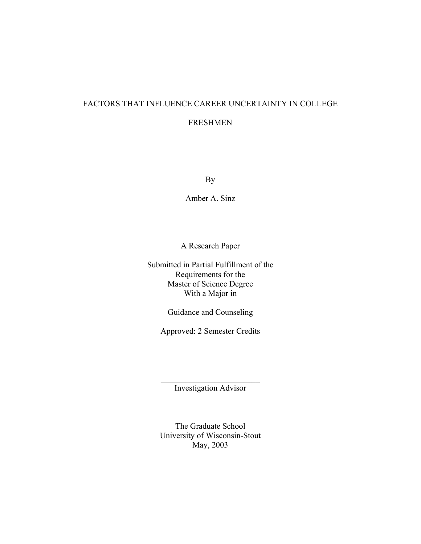# FACTORS THAT INFLUENCE CAREER UNCERTAINTY IN COLLEGE

# FRESHMEN

By

Amber A. Sinz

A Research Paper

Submitted in Partial Fulfillment of the Requirements for the Master of Science Degree With a Major in

Guidance and Counseling

Approved: 2 Semester Credits

 $\mathcal{L}_\text{max}$  , where  $\mathcal{L}_\text{max}$  , we have the set of  $\mathcal{L}_\text{max}$ Investigation Advisor

The Graduate School University of Wisconsin-Stout May, 2003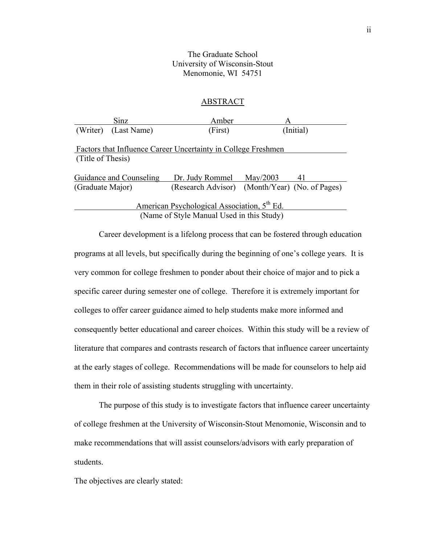# The Graduate School University of Wisconsin-Stout Menomonie, WI 54751

## ABSTRACT

| Sinz                                                          | Amber           | A                                              |  |  |  |
|---------------------------------------------------------------|-----------------|------------------------------------------------|--|--|--|
| (Writer) (Last Name)                                          | (First)         | (Initial)                                      |  |  |  |
|                                                               |                 |                                                |  |  |  |
| Factors that Influence Career Uncertainty in College Freshmen |                 |                                                |  |  |  |
| (Title of Thesis)                                             |                 |                                                |  |  |  |
|                                                               |                 |                                                |  |  |  |
| <b>Guidance and Counseling</b>                                | Dr. Judy Rommel | $\text{May}/2003$<br>41                        |  |  |  |
| (Graduate Major)                                              |                 | (Research Advisor) (Month/Year) (No. of Pages) |  |  |  |
|                                                               |                 |                                                |  |  |  |
| American Psychological Association, 5 <sup>th</sup> Ed.       |                 |                                                |  |  |  |

(Name of Style Manual Used in this Study)

 Career development is a lifelong process that can be fostered through education programs at all levels, but specifically during the beginning of one's college years. It is very common for college freshmen to ponder about their choice of major and to pick a specific career during semester one of college. Therefore it is extremely important for colleges to offer career guidance aimed to help students make more informed and consequently better educational and career choices. Within this study will be a review of literature that compares and contrasts research of factors that influence career uncertainty at the early stages of college. Recommendations will be made for counselors to help aid them in their role of assisting students struggling with uncertainty.

The purpose of this study is to investigate factors that influence career uncertainty of college freshmen at the University of Wisconsin-Stout Menomonie, Wisconsin and to make recommendations that will assist counselors/advisors with early preparation of students.

The objectives are clearly stated: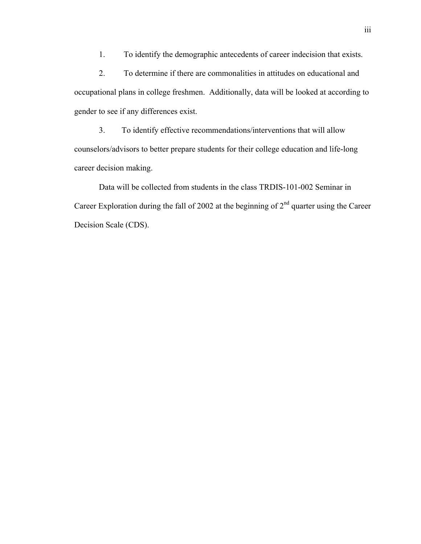1. To identify the demographic antecedents of career indecision that exists.

 2. To determine if there are commonalities in attitudes on educational and occupational plans in college freshmen. Additionally, data will be looked at according to gender to see if any differences exist.

3. To identify effective recommendations/interventions that will allow counselors/advisors to better prepare students for their college education and life-long career decision making.

Data will be collected from students in the class TRDIS-101-002 Seminar in Career Exploration during the fall of 2002 at the beginning of  $2<sup>nd</sup>$  quarter using the Career Decision Scale (CDS).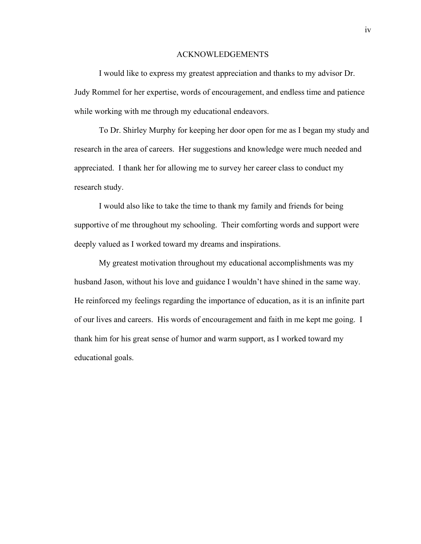#### ACKNOWLEDGEMENTS

 I would like to express my greatest appreciation and thanks to my advisor Dr. Judy Rommel for her expertise, words of encouragement, and endless time and patience while working with me through my educational endeavors.

 To Dr. Shirley Murphy for keeping her door open for me as I began my study and research in the area of careers. Her suggestions and knowledge were much needed and appreciated. I thank her for allowing me to survey her career class to conduct my research study.

I would also like to take the time to thank my family and friends for being supportive of me throughout my schooling. Their comforting words and support were deeply valued as I worked toward my dreams and inspirations.

 My greatest motivation throughout my educational accomplishments was my husband Jason, without his love and guidance I wouldn't have shined in the same way. He reinforced my feelings regarding the importance of education, as it is an infinite part of our lives and careers. His words of encouragement and faith in me kept me going. I thank him for his great sense of humor and warm support, as I worked toward my educational goals.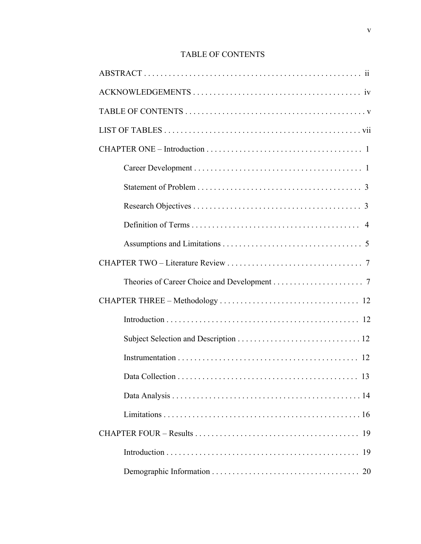# TABLE OF CONTENTS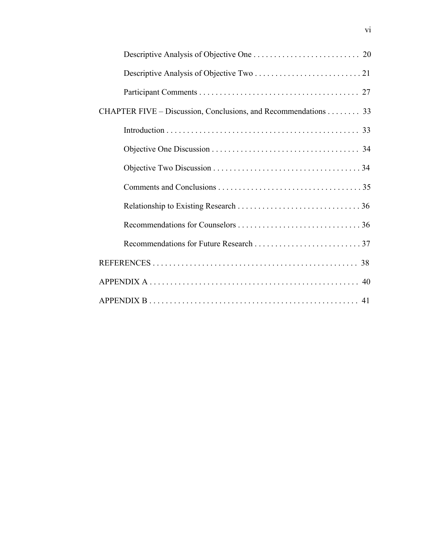| CHAPTER FIVE – Discussion, Conclusions, and Recommendations 33 |
|----------------------------------------------------------------|
|                                                                |
|                                                                |
|                                                                |
|                                                                |
|                                                                |
|                                                                |
|                                                                |
|                                                                |
|                                                                |
|                                                                |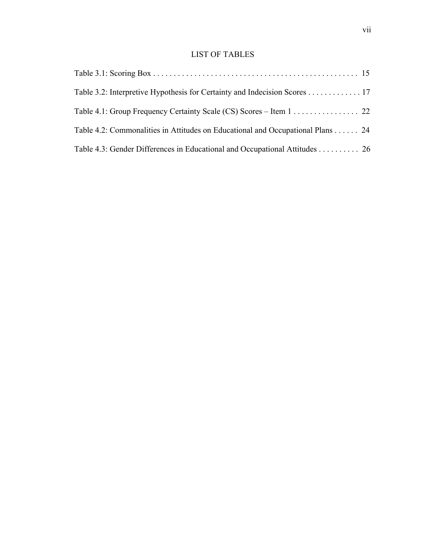# LIST OF TABLES

| Table 3.2: Interpretive Hypothesis for Certainty and Indecision Scores 17      |  |
|--------------------------------------------------------------------------------|--|
| Table 4.1: Group Frequency Certainty Scale (CS) Scores – Item 1 22             |  |
| Table 4.2: Commonalities in Attitudes on Educational and Occupational Plans 24 |  |
| Table 4.3: Gender Differences in Educational and Occupational Attitudes 26     |  |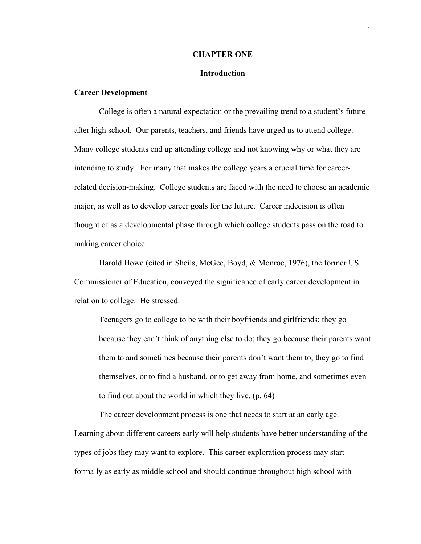#### **CHAPTER ONE**

#### **Introduction**

#### **Career Development**

College is often a natural expectation or the prevailing trend to a student's future after high school. Our parents, teachers, and friends have urged us to attend college. Many college students end up attending college and not knowing why or what they are intending to study. For many that makes the college years a crucial time for careerrelated decision-making. College students are faced with the need to choose an academic major, as well as to develop career goals for the future. Career indecision is often thought of as a developmental phase through which college students pass on the road to making career choice.

Harold Howe (cited in Sheils, McGee, Boyd, & Monroe, 1976), the former US Commissioner of Education, conveyed the significance of early career development in relation to college. He stressed:

Teenagers go to college to be with their boyfriends and girlfriends; they go because they can't think of anything else to do; they go because their parents want them to and sometimes because their parents don't want them to; they go to find themselves, or to find a husband, or to get away from home, and sometimes even to find out about the world in which they live. (p. 64)

The career development process is one that needs to start at an early age. Learning about different careers early will help students have better understanding of the types of jobs they may want to explore. This career exploration process may start formally as early as middle school and should continue throughout high school with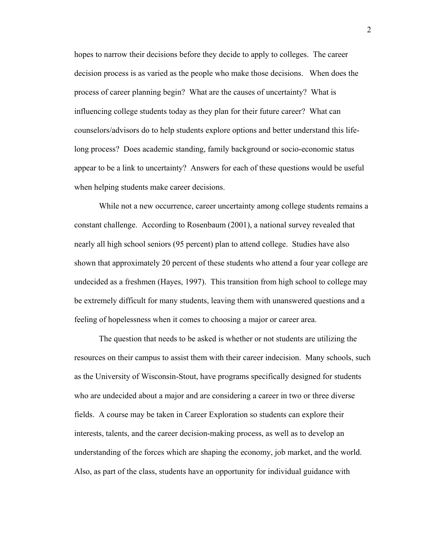hopes to narrow their decisions before they decide to apply to colleges. The career decision process is as varied as the people who make those decisions. When does the process of career planning begin? What are the causes of uncertainty? What is influencing college students today as they plan for their future career? What can counselors/advisors do to help students explore options and better understand this lifelong process? Does academic standing, family background or socio-economic status appear to be a link to uncertainty? Answers for each of these questions would be useful when helping students make career decisions.

While not a new occurrence, career uncertainty among college students remains a constant challenge. According to Rosenbaum (2001), a national survey revealed that nearly all high school seniors (95 percent) plan to attend college. Studies have also shown that approximately 20 percent of these students who attend a four year college are undecided as a freshmen (Hayes, 1997). This transition from high school to college may be extremely difficult for many students, leaving them with unanswered questions and a feeling of hopelessness when it comes to choosing a major or career area.

The question that needs to be asked is whether or not students are utilizing the resources on their campus to assist them with their career indecision. Many schools, such as the University of Wisconsin-Stout, have programs specifically designed for students who are undecided about a major and are considering a career in two or three diverse fields. A course may be taken in Career Exploration so students can explore their interests, talents, and the career decision-making process, as well as to develop an understanding of the forces which are shaping the economy, job market, and the world. Also, as part of the class, students have an opportunity for individual guidance with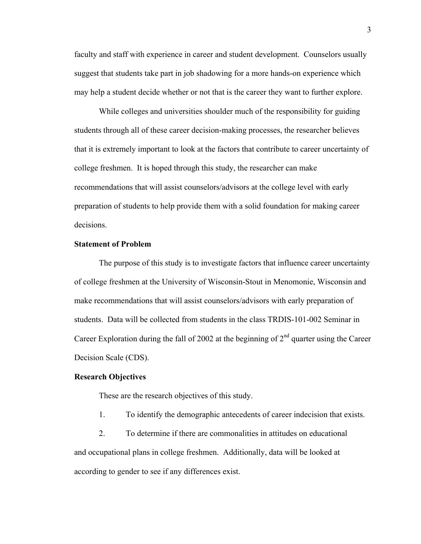faculty and staff with experience in career and student development. Counselors usually suggest that students take part in job shadowing for a more hands-on experience which may help a student decide whether or not that is the career they want to further explore.

 While colleges and universities shoulder much of the responsibility for guiding students through all of these career decision-making processes, the researcher believes that it is extremely important to look at the factors that contribute to career uncertainty of college freshmen. It is hoped through this study, the researcher can make recommendations that will assist counselors/advisors at the college level with early preparation of students to help provide them with a solid foundation for making career decisions.

#### **Statement of Problem**

The purpose of this study is to investigate factors that influence career uncertainty of college freshmen at the University of Wisconsin-Stout in Menomonie, Wisconsin and make recommendations that will assist counselors/advisors with early preparation of students. Data will be collected from students in the class TRDIS-101-002 Seminar in Career Exploration during the fall of 2002 at the beginning of  $2<sup>nd</sup>$  quarter using the Career Decision Scale (CDS).

#### **Research Objectives**

These are the research objectives of this study.

1. To identify the demographic antecedents of career indecision that exists.

2. To determine if there are commonalities in attitudes on educational and occupational plans in college freshmen. Additionally, data will be looked at according to gender to see if any differences exist.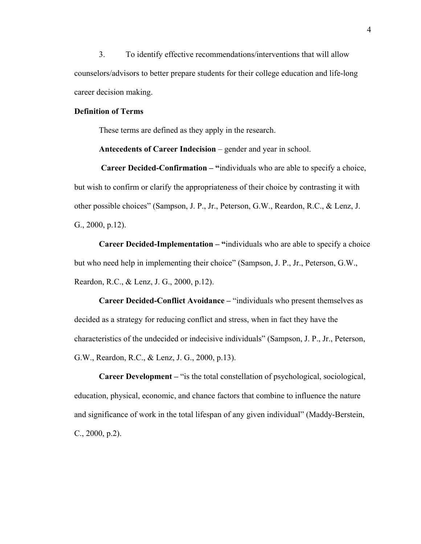3. To identify effective recommendations/interventions that will allow counselors/advisors to better prepare students for their college education and life-long career decision making.

#### **Definition of Terms**

These terms are defined as they apply in the research.

**Antecedents of Career Indecision** – gender and year in school.

 **Career Decided-Confirmation – "**individuals who are able to specify a choice, but wish to confirm or clarify the appropriateness of their choice by contrasting it with other possible choices" (Sampson, J. P., Jr., Peterson, G.W., Reardon, R.C., & Lenz, J. G., 2000, p.12).

**Career Decided-Implementation – "**individuals who are able to specify a choice but who need help in implementing their choice" (Sampson, J. P., Jr., Peterson, G.W., Reardon, R.C., & Lenz, J. G., 2000, p.12).

**Career Decided-Conflict Avoidance –** "individuals who present themselves as decided as a strategy for reducing conflict and stress, when in fact they have the characteristics of the undecided or indecisive individuals" (Sampson, J. P., Jr., Peterson, G.W., Reardon, R.C., & Lenz, J. G., 2000, p.13).

**Career Development –** "is the total constellation of psychological, sociological, education, physical, economic, and chance factors that combine to influence the nature and significance of work in the total lifespan of any given individual" (Maddy-Berstein, C., 2000, p.2).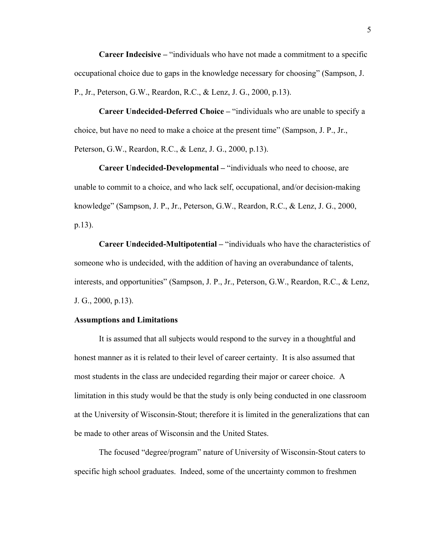**Career Indecisive –** "individuals who have not made a commitment to a specific occupational choice due to gaps in the knowledge necessary for choosing" (Sampson, J. P., Jr., Peterson, G.W., Reardon, R.C., & Lenz, J. G., 2000, p.13).

**Career Undecided-Deferred Choice –** "individuals who are unable to specify a choice, but have no need to make a choice at the present time" (Sampson, J. P., Jr., Peterson, G.W., Reardon, R.C., & Lenz, J. G., 2000, p.13).

**Career Undecided-Developmental –** "individuals who need to choose, are unable to commit to a choice, and who lack self, occupational, and/or decision-making knowledge" (Sampson, J. P., Jr., Peterson, G.W., Reardon, R.C., & Lenz, J. G., 2000, p.13).

**Career Undecided-Multipotential –** "individuals who have the characteristics of someone who is undecided, with the addition of having an overabundance of talents, interests, and opportunities" (Sampson, J. P., Jr., Peterson, G.W., Reardon, R.C., & Lenz, J. G., 2000, p.13).

#### **Assumptions and Limitations**

 It is assumed that all subjects would respond to the survey in a thoughtful and honest manner as it is related to their level of career certainty. It is also assumed that most students in the class are undecided regarding their major or career choice. A limitation in this study would be that the study is only being conducted in one classroom at the University of Wisconsin-Stout; therefore it is limited in the generalizations that can be made to other areas of Wisconsin and the United States.

The focused "degree/program" nature of University of Wisconsin-Stout caters to specific high school graduates. Indeed, some of the uncertainty common to freshmen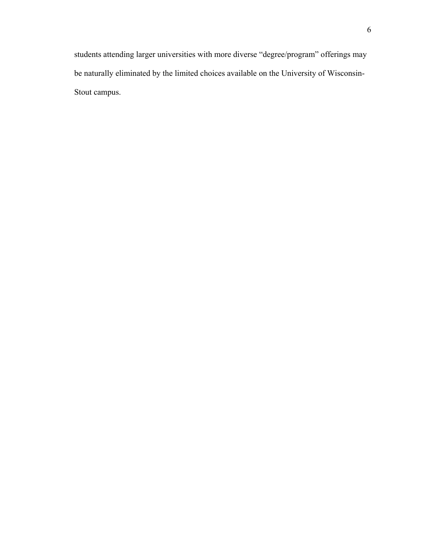students attending larger universities with more diverse "degree/program" offerings may be naturally eliminated by the limited choices available on the University of Wisconsin-Stout campus.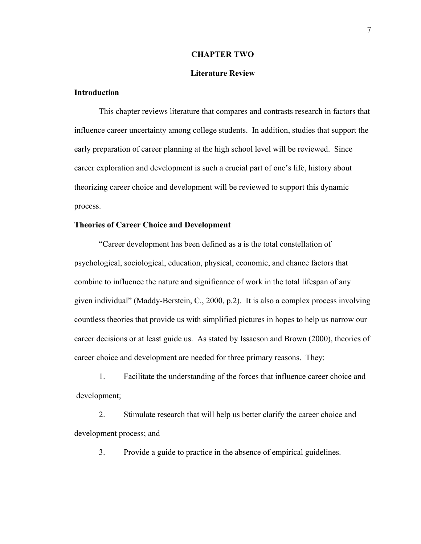#### **CHAPTER TWO**

#### **Literature Review**

## **Introduction**

This chapter reviews literature that compares and contrasts research in factors that influence career uncertainty among college students. In addition, studies that support the early preparation of career planning at the high school level will be reviewed. Since career exploration and development is such a crucial part of one's life, history about theorizing career choice and development will be reviewed to support this dynamic process.

## **Theories of Career Choice and Development**

"Career development has been defined as a is the total constellation of psychological, sociological, education, physical, economic, and chance factors that combine to influence the nature and significance of work in the total lifespan of any given individual" (Maddy-Berstein, C., 2000, p.2). It is also a complex process involving countless theories that provide us with simplified pictures in hopes to help us narrow our career decisions or at least guide us. As stated by Issacson and Brown (2000), theories of career choice and development are needed for three primary reasons. They:

1. Facilitate the understanding of the forces that influence career choice and development;

2. Stimulate research that will help us better clarify the career choice and development process; and

3. Provide a guide to practice in the absence of empirical guidelines.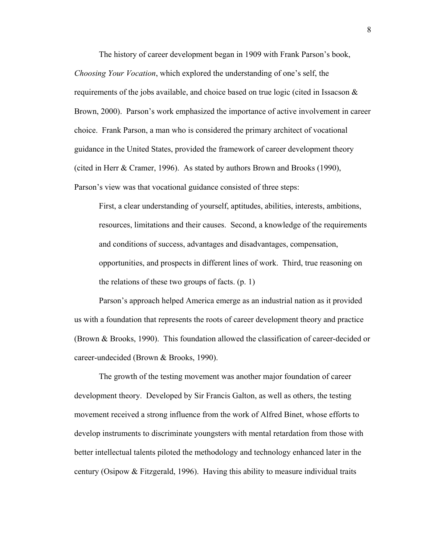The history of career development began in 1909 with Frank Parson's book, *Choosing Your Vocation*, which explored the understanding of one's self, the requirements of the jobs available, and choice based on true logic (cited in Issacson  $\&$ Brown, 2000). Parson's work emphasized the importance of active involvement in career choice. Frank Parson, a man who is considered the primary architect of vocational guidance in the United States, provided the framework of career development theory (cited in Herr & Cramer, 1996). As stated by authors Brown and Brooks (1990), Parson's view was that vocational guidance consisted of three steps:

First, a clear understanding of yourself, aptitudes, abilities, interests, ambitions, resources, limitations and their causes. Second, a knowledge of the requirements and conditions of success, advantages and disadvantages, compensation, opportunities, and prospects in different lines of work. Third, true reasoning on the relations of these two groups of facts. (p. 1)

 Parson's approach helped America emerge as an industrial nation as it provided us with a foundation that represents the roots of career development theory and practice (Brown & Brooks, 1990). This foundation allowed the classification of career-decided or career-undecided (Brown & Brooks, 1990).

 The growth of the testing movement was another major foundation of career development theory. Developed by Sir Francis Galton, as well as others, the testing movement received a strong influence from the work of Alfred Binet, whose efforts to develop instruments to discriminate youngsters with mental retardation from those with better intellectual talents piloted the methodology and technology enhanced later in the century (Osipow & Fitzgerald, 1996). Having this ability to measure individual traits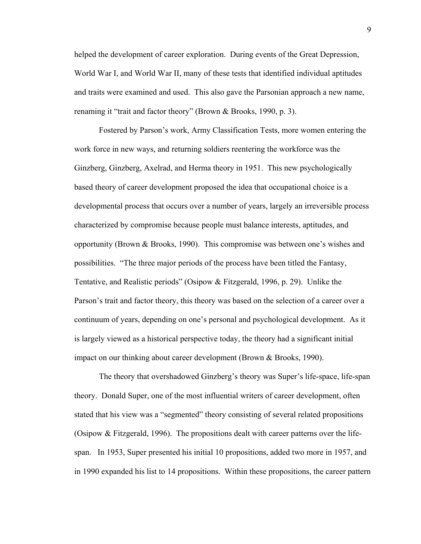helped the development of career exploration. During events of the Great Depression, World War I, and World War II, many of these tests that identified individual aptitudes and traits were examined and used. This also gave the Parsonian approach a new name, renaming it "trait and factor theory" (Brown & Brooks, 1990, p. 3).

 Fostered by Parson's work, Army Classification Tests, more women entering the work force in new ways, and returning soldiers reentering the workforce was the Ginzberg, Ginzberg, Axelrad, and Herma theory in 1951. This new psychologically based theory of career development proposed the idea that occupational choice is a developmental process that occurs over a number of years, largely an irreversible process characterized by compromise because people must balance interests, aptitudes, and opportunity (Brown & Brooks, 1990). This compromise was between one's wishes and possibilities. "The three major periods of the process have been titled the Fantasy, Tentative, and Realistic periods" (Osipow & Fitzgerald, 1996, p. 29). Unlike the Parson's trait and factor theory, this theory was based on the selection of a career over a continuum of years, depending on one's personal and psychological development. As it is largely viewed as a historical perspective today, the theory had a significant initial impact on our thinking about career development (Brown & Brooks, 1990).

 The theory that overshadowed Ginzberg's theory was Super's life-space, life-span theory. Donald Super, one of the most influential writers of career development, often stated that his view was a "segmented" theory consisting of several related propositions (Osipow  $\&$  Fitzgerald, 1996). The propositions dealt with career patterns over the lifespan. In 1953, Super presented his initial 10 propositions, added two more in 1957, and in 1990 expanded his list to 14 propositions. Within these propositions, the career pattern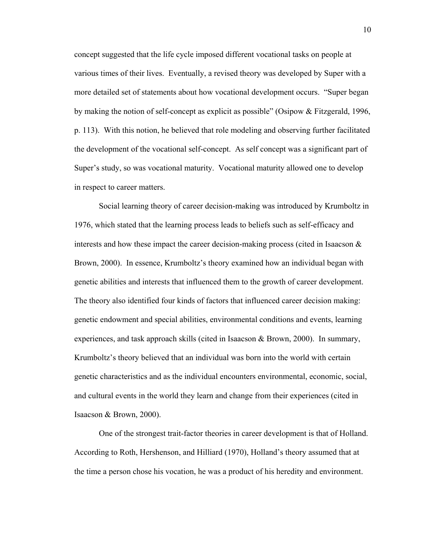concept suggested that the life cycle imposed different vocational tasks on people at various times of their lives. Eventually, a revised theory was developed by Super with a more detailed set of statements about how vocational development occurs. "Super began by making the notion of self-concept as explicit as possible" (Osipow & Fitzgerald, 1996, p. 113). With this notion, he believed that role modeling and observing further facilitated the development of the vocational self-concept. As self concept was a significant part of Super's study, so was vocational maturity. Vocational maturity allowed one to develop in respect to career matters.

 Social learning theory of career decision-making was introduced by Krumboltz in 1976, which stated that the learning process leads to beliefs such as self-efficacy and interests and how these impact the career decision-making process (cited in Isaacson  $\&$ Brown, 2000). In essence, Krumboltz's theory examined how an individual began with genetic abilities and interests that influenced them to the growth of career development. The theory also identified four kinds of factors that influenced career decision making: genetic endowment and special abilities, environmental conditions and events, learning experiences, and task approach skills (cited in Isaacson & Brown, 2000). In summary, Krumboltz's theory believed that an individual was born into the world with certain genetic characteristics and as the individual encounters environmental, economic, social, and cultural events in the world they learn and change from their experiences (cited in Isaacson & Brown, 2000).

 One of the strongest trait-factor theories in career development is that of Holland. According to Roth, Hershenson, and Hilliard (1970), Holland's theory assumed that at the time a person chose his vocation, he was a product of his heredity and environment.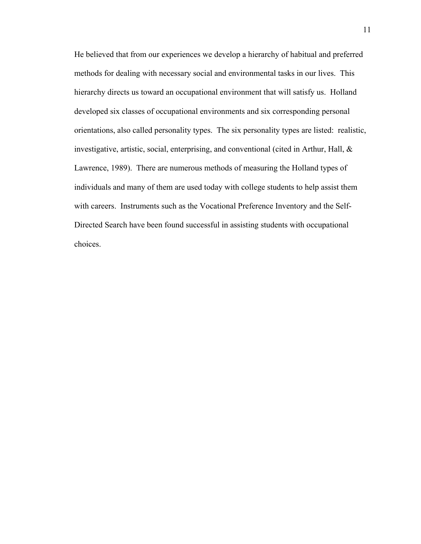He believed that from our experiences we develop a hierarchy of habitual and preferred methods for dealing with necessary social and environmental tasks in our lives. This hierarchy directs us toward an occupational environment that will satisfy us. Holland developed six classes of occupational environments and six corresponding personal orientations, also called personality types. The six personality types are listed: realistic, investigative, artistic, social, enterprising, and conventional (cited in Arthur, Hall, & Lawrence, 1989). There are numerous methods of measuring the Holland types of individuals and many of them are used today with college students to help assist them with careers. Instruments such as the Vocational Preference Inventory and the Self-Directed Search have been found successful in assisting students with occupational choices.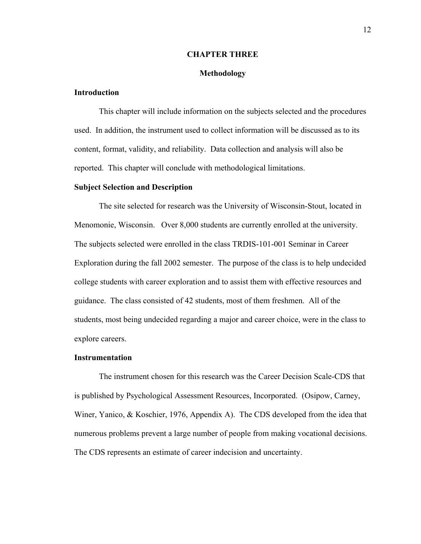#### **CHAPTER THREE**

#### **Methodology**

## **Introduction**

This chapter will include information on the subjects selected and the procedures used. In addition, the instrument used to collect information will be discussed as to its content, format, validity, and reliability. Data collection and analysis will also be reported. This chapter will conclude with methodological limitations.

#### **Subject Selection and Description**

The site selected for research was the University of Wisconsin-Stout, located in Menomonie, Wisconsin. Over 8,000 students are currently enrolled at the university. The subjects selected were enrolled in the class TRDIS-101-001 Seminar in Career Exploration during the fall 2002 semester. The purpose of the class is to help undecided college students with career exploration and to assist them with effective resources and guidance. The class consisted of 42 students, most of them freshmen. All of the students, most being undecided regarding a major and career choice, were in the class to explore careers.

#### **Instrumentation**

The instrument chosen for this research was the Career Decision Scale-CDS that is published by Psychological Assessment Resources, Incorporated. (Osipow, Carney, Winer, Yanico, & Koschier, 1976, Appendix A). The CDS developed from the idea that numerous problems prevent a large number of people from making vocational decisions. The CDS represents an estimate of career indecision and uncertainty.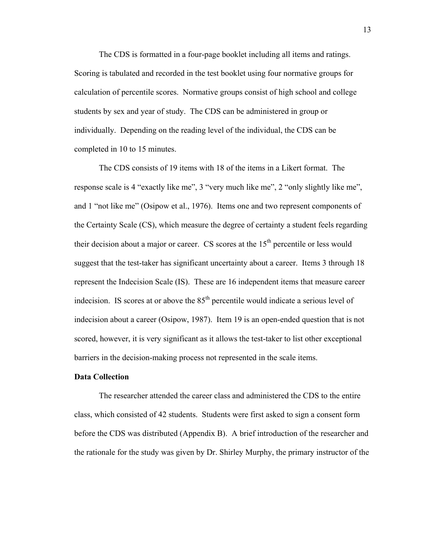The CDS is formatted in a four-page booklet including all items and ratings. Scoring is tabulated and recorded in the test booklet using four normative groups for calculation of percentile scores. Normative groups consist of high school and college students by sex and year of study. The CDS can be administered in group or individually. Depending on the reading level of the individual, the CDS can be completed in 10 to 15 minutes.

The CDS consists of 19 items with 18 of the items in a Likert format. The response scale is 4 "exactly like me", 3 "very much like me", 2 "only slightly like me", and 1 "not like me" (Osipow et al., 1976). Items one and two represent components of the Certainty Scale (CS), which measure the degree of certainty a student feels regarding their decision about a major or career. CS scores at the  $15<sup>th</sup>$  percentile or less would suggest that the test-taker has significant uncertainty about a career. Items 3 through 18 represent the Indecision Scale (IS). These are 16 independent items that measure career indecision. IS scores at or above the  $85<sup>th</sup>$  percentile would indicate a serious level of indecision about a career (Osipow, 1987). Item 19 is an open-ended question that is not scored, however, it is very significant as it allows the test-taker to list other exceptional barriers in the decision-making process not represented in the scale items.

#### **Data Collection**

 The researcher attended the career class and administered the CDS to the entire class, which consisted of 42 students. Students were first asked to sign a consent form before the CDS was distributed (Appendix B). A brief introduction of the researcher and the rationale for the study was given by Dr. Shirley Murphy, the primary instructor of the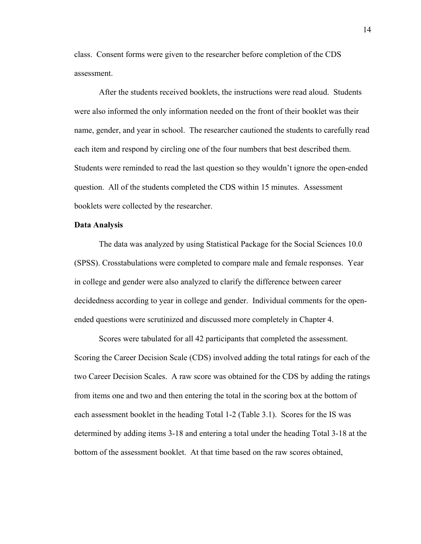class. Consent forms were given to the researcher before completion of the CDS assessment.

After the students received booklets, the instructions were read aloud. Students were also informed the only information needed on the front of their booklet was their name, gender, and year in school. The researcher cautioned the students to carefully read each item and respond by circling one of the four numbers that best described them. Students were reminded to read the last question so they wouldn't ignore the open-ended question. All of the students completed the CDS within 15 minutes. Assessment booklets were collected by the researcher.

#### **Data Analysis**

The data was analyzed by using Statistical Package for the Social Sciences 10.0 (SPSS). Crosstabulations were completed to compare male and female responses. Year in college and gender were also analyzed to clarify the difference between career decidedness according to year in college and gender. Individual comments for the openended questions were scrutinized and discussed more completely in Chapter 4.

 Scores were tabulated for all 42 participants that completed the assessment. Scoring the Career Decision Scale (CDS) involved adding the total ratings for each of the two Career Decision Scales. A raw score was obtained for the CDS by adding the ratings from items one and two and then entering the total in the scoring box at the bottom of each assessment booklet in the heading Total 1-2 (Table 3.1). Scores for the IS was determined by adding items 3-18 and entering a total under the heading Total 3-18 at the bottom of the assessment booklet. At that time based on the raw scores obtained,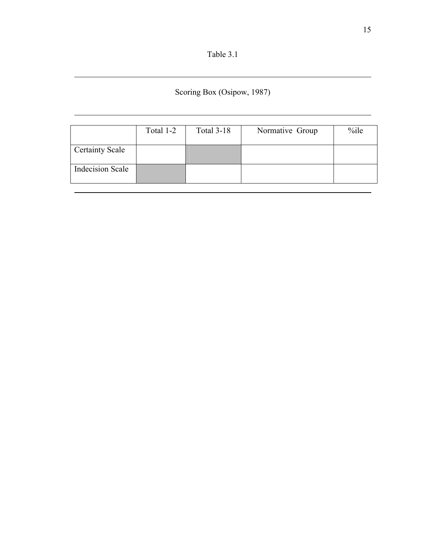| Table 3. |  |
|----------|--|
|----------|--|

 $\overline{a}$ 

 $\overline{a}$ 

Scoring Box (Osipow, 1987)

|                         | Total 1-2 | <b>Total 3-18</b> | Normative Group | %ile |
|-------------------------|-----------|-------------------|-----------------|------|
| <b>Certainty Scale</b>  |           |                   |                 |      |
| <b>Indecision Scale</b> |           |                   |                 |      |
|                         |           |                   |                 |      |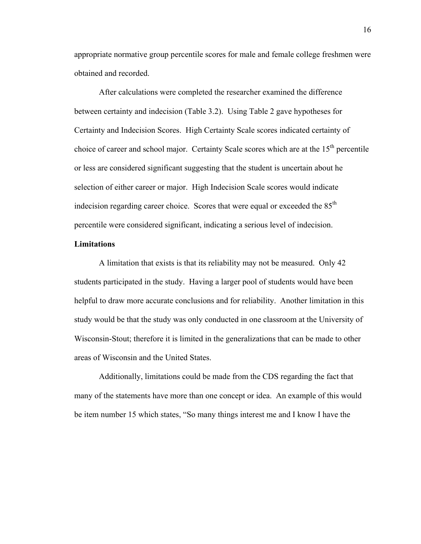appropriate normative group percentile scores for male and female college freshmen were obtained and recorded.

After calculations were completed the researcher examined the difference between certainty and indecision (Table 3.2). Using Table 2 gave hypotheses for Certainty and Indecision Scores. High Certainty Scale scores indicated certainty of choice of career and school major. Certainty Scale scores which are at the  $15<sup>th</sup>$  percentile or less are considered significant suggesting that the student is uncertain about he selection of either career or major. High Indecision Scale scores would indicate indecision regarding career choice. Scores that were equal or exceeded the 85<sup>th</sup> percentile were considered significant, indicating a serious level of indecision.

### **Limitations**

 A limitation that exists is that its reliability may not be measured. Only 42 students participated in the study. Having a larger pool of students would have been helpful to draw more accurate conclusions and for reliability. Another limitation in this study would be that the study was only conducted in one classroom at the University of Wisconsin-Stout; therefore it is limited in the generalizations that can be made to other areas of Wisconsin and the United States.

 Additionally, limitations could be made from the CDS regarding the fact that many of the statements have more than one concept or idea. An example of this would be item number 15 which states, "So many things interest me and I know I have the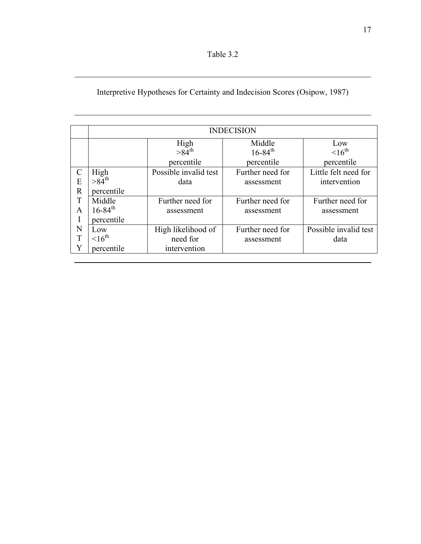| Table 3 |  |
|---------|--|
|         |  |

 $\overline{a}$ 

 $\overline{a}$ 

# Interpretive Hypotheses for Certainty and Indecision Scores (Osipow, 1987)

|               | <b>INDECISION</b>       |                       |                         |                       |  |  |  |
|---------------|-------------------------|-----------------------|-------------------------|-----------------------|--|--|--|
|               |                         | High                  | Middle                  | Low                   |  |  |  |
|               |                         | $>84$ <sup>th</sup>   | $16 - 84$ <sup>th</sup> | $16^{\text{th}}$      |  |  |  |
|               |                         | percentile            | percentile              | percentile            |  |  |  |
| $\mathcal{C}$ | High                    | Possible invalid test | Further need for        | Little felt need for  |  |  |  |
| E             | $>84^{th}$              | data                  | assessment              | intervention          |  |  |  |
| $\mathbf R$   | percentile              |                       |                         |                       |  |  |  |
| T             | Middle                  | Further need for      | Further need for        | Further need for      |  |  |  |
| A             | $16 - 84$ <sup>th</sup> | assessment            | assessment              | assessment            |  |  |  |
| I             | percentile              |                       |                         |                       |  |  |  |
| N             | Low                     | High likelihood of    | Further need for        | Possible invalid test |  |  |  |
| T             | $16^{\text{th}}$        | need for              | assessment              | data                  |  |  |  |
| Y             | percentile              | intervention          |                         |                       |  |  |  |
|               |                         |                       |                         |                       |  |  |  |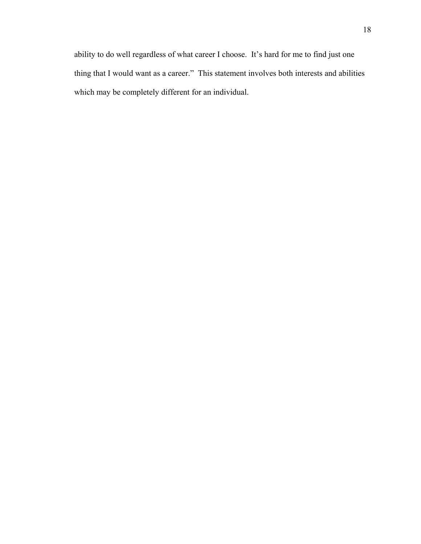ability to do well regardless of what career I choose. It's hard for me to find just one thing that I would want as a career." This statement involves both interests and abilities which may be completely different for an individual.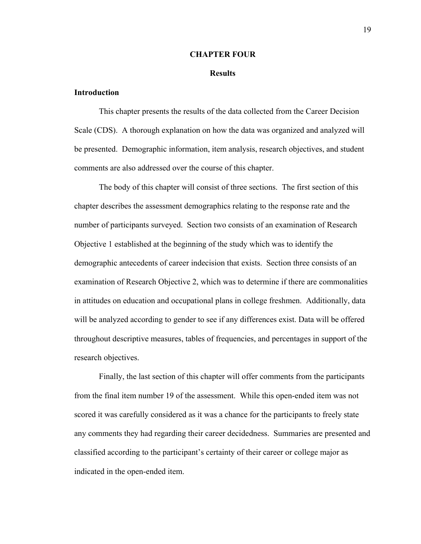#### **CHAPTER FOUR**

#### **Results**

## **Introduction**

 This chapter presents the results of the data collected from the Career Decision Scale (CDS). A thorough explanation on how the data was organized and analyzed will be presented. Demographic information, item analysis, research objectives, and student comments are also addressed over the course of this chapter.

The body of this chapter will consist of three sections. The first section of this chapter describes the assessment demographics relating to the response rate and the number of participants surveyed. Section two consists of an examination of Research Objective 1 established at the beginning of the study which was to identify the demographic antecedents of career indecision that exists. Section three consists of an examination of Research Objective 2, which was to determine if there are commonalities in attitudes on education and occupational plans in college freshmen. Additionally, data will be analyzed according to gender to see if any differences exist. Data will be offered throughout descriptive measures, tables of frequencies, and percentages in support of the research objectives.

 Finally, the last section of this chapter will offer comments from the participants from the final item number 19 of the assessment. While this open-ended item was not scored it was carefully considered as it was a chance for the participants to freely state any comments they had regarding their career decidedness. Summaries are presented and classified according to the participant's certainty of their career or college major as indicated in the open-ended item.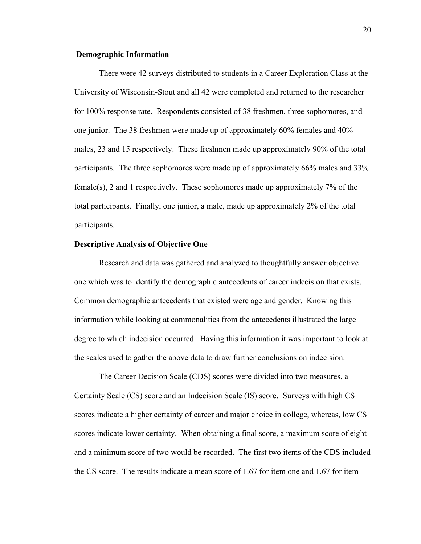#### **Demographic Information**

There were 42 surveys distributed to students in a Career Exploration Class at the University of Wisconsin-Stout and all 42 were completed and returned to the researcher for 100% response rate. Respondents consisted of 38 freshmen, three sophomores, and one junior. The 38 freshmen were made up of approximately 60% females and 40% males, 23 and 15 respectively. These freshmen made up approximately 90% of the total participants. The three sophomores were made up of approximately 66% males and 33% female(s), 2 and 1 respectively. These sophomores made up approximately 7% of the total participants. Finally, one junior, a male, made up approximately 2% of the total participants.

#### **Descriptive Analysis of Objective One**

Research and data was gathered and analyzed to thoughtfully answer objective one which was to identify the demographic antecedents of career indecision that exists. Common demographic antecedents that existed were age and gender. Knowing this information while looking at commonalities from the antecedents illustrated the large degree to which indecision occurred. Having this information it was important to look at the scales used to gather the above data to draw further conclusions on indecision.

 The Career Decision Scale (CDS) scores were divided into two measures, a Certainty Scale (CS) score and an Indecision Scale (IS) score. Surveys with high CS scores indicate a higher certainty of career and major choice in college, whereas, low CS scores indicate lower certainty. When obtaining a final score, a maximum score of eight and a minimum score of two would be recorded. The first two items of the CDS included the CS score. The results indicate a mean score of 1.67 for item one and 1.67 for item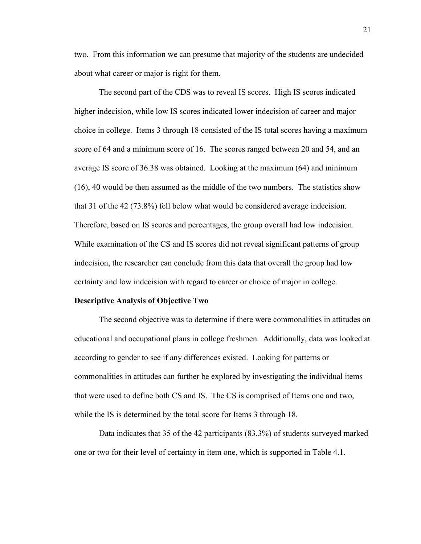two. From this information we can presume that majority of the students are undecided about what career or major is right for them.

 The second part of the CDS was to reveal IS scores. High IS scores indicated higher indecision, while low IS scores indicated lower indecision of career and major choice in college. Items 3 through 18 consisted of the IS total scores having a maximum score of 64 and a minimum score of 16. The scores ranged between 20 and 54, and an average IS score of 36.38 was obtained. Looking at the maximum (64) and minimum (16), 40 would be then assumed as the middle of the two numbers. The statistics show that 31 of the 42 (73.8%) fell below what would be considered average indecision. Therefore, based on IS scores and percentages, the group overall had low indecision. While examination of the CS and IS scores did not reveal significant patterns of group indecision, the researcher can conclude from this data that overall the group had low certainty and low indecision with regard to career or choice of major in college.

#### **Descriptive Analysis of Objective Two**

The second objective was to determine if there were commonalities in attitudes on educational and occupational plans in college freshmen. Additionally, data was looked at according to gender to see if any differences existed. Looking for patterns or commonalities in attitudes can further be explored by investigating the individual items that were used to define both CS and IS. The CS is comprised of Items one and two, while the IS is determined by the total score for Items 3 through 18.

Data indicates that 35 of the 42 participants (83.3%) of students surveyed marked one or two for their level of certainty in item one, which is supported in Table 4.1.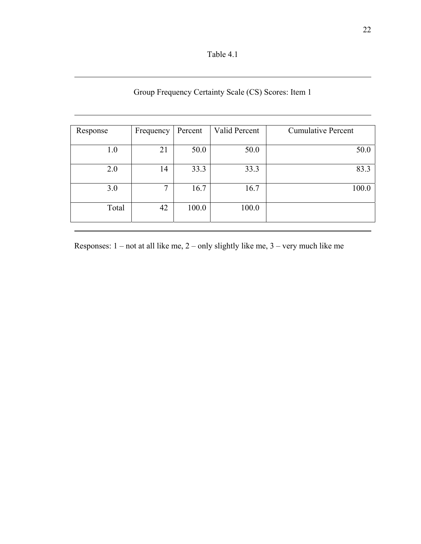| Table 4.1 |
|-----------|
|-----------|

 $\overline{a}$ 

 $\overline{a}$ 

# Group Frequency Certainty Scale (CS) Scores: Item 1

| Response | Frequency | Percent | Valid Percent | <b>Cumulative Percent</b> |
|----------|-----------|---------|---------------|---------------------------|
|          |           |         |               |                           |
| 1.0      | 21        | 50.0    | 50.0          | 50.0                      |
|          |           |         |               |                           |
| 2.0      | 14        | 33.3    | 33.3          | 83.3                      |
|          |           |         |               |                           |
| 3.0      | 7         | 16.7    | 16.7          | 100.0                     |
| Total    | 42        | 100.0   | 100.0         |                           |
|          |           |         |               |                           |

Responses: 1 – not at all like me, 2 – only slightly like me, 3 – very much like me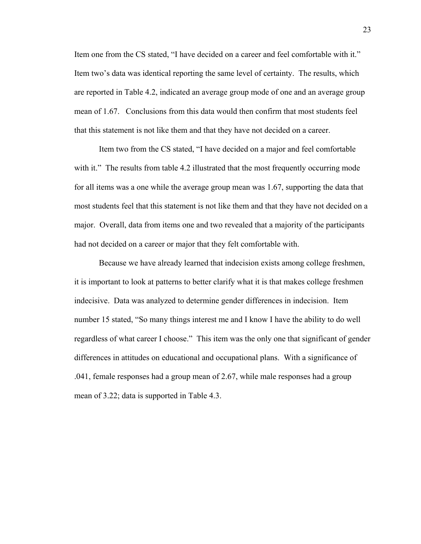Item one from the CS stated, "I have decided on a career and feel comfortable with it." Item two's data was identical reporting the same level of certainty. The results, which are reported in Table 4.2, indicated an average group mode of one and an average group mean of 1.67. Conclusions from this data would then confirm that most students feel that this statement is not like them and that they have not decided on a career.

Item two from the CS stated, "I have decided on a major and feel comfortable with it." The results from table 4.2 illustrated that the most frequently occurring mode for all items was a one while the average group mean was 1.67, supporting the data that most students feel that this statement is not like them and that they have not decided on a major. Overall, data from items one and two revealed that a majority of the participants had not decided on a career or major that they felt comfortable with.

 Because we have already learned that indecision exists among college freshmen, it is important to look at patterns to better clarify what it is that makes college freshmen indecisive. Data was analyzed to determine gender differences in indecision. Item number 15 stated, "So many things interest me and I know I have the ability to do well regardless of what career I choose." This item was the only one that significant of gender differences in attitudes on educational and occupational plans. With a significance of .041, female responses had a group mean of 2.67, while male responses had a group mean of 3.22; data is supported in Table 4.3.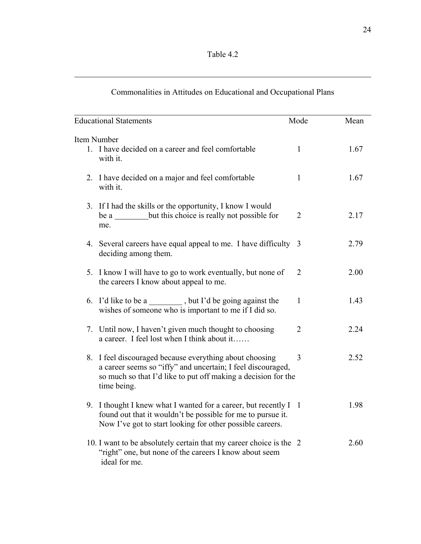| Table 4. |  |
|----------|--|
|----------|--|

 $\overline{a}$ 

| <b>Educational Statements</b>                                                                                                                                                                          | Mode           | Mean |
|--------------------------------------------------------------------------------------------------------------------------------------------------------------------------------------------------------|----------------|------|
| Item Number                                                                                                                                                                                            |                |      |
| 1. I have decided on a career and feel comfortable<br>with it.                                                                                                                                         | $\mathbf{1}$   | 1.67 |
| 2. I have decided on a major and feel comfortable<br>with it.                                                                                                                                          | $\mathbf{1}$   | 1.67 |
| 3. If I had the skills or the opportunity, I know I would<br>be a _______ but this choice is really not possible for<br>me.                                                                            | $\overline{2}$ | 2.17 |
| 4. Several careers have equal appeal to me. I have difficulty 3<br>deciding among them.                                                                                                                |                | 2.79 |
| 5. I know I will have to go to work eventually, but none of<br>the careers I know about appeal to me.                                                                                                  | 2              | 2.00 |
| 6. I'd like to be a _________, but I'd be going against the<br>wishes of someone who is important to me if I did so.                                                                                   | $\mathbf{1}$   | 1.43 |
| 7. Until now, I haven't given much thought to choosing<br>a career. I feel lost when I think about it                                                                                                  | $\overline{2}$ | 2.24 |
| 8. I feel discouraged because everything about choosing<br>a career seems so "iffy" and uncertain; I feel discouraged,<br>so much so that I'd like to put off making a decision for the<br>time being. | 3              | 2.52 |
| 9. I thought I knew what I wanted for a career, but recently I 1<br>found out that it wouldn't be possible for me to pursue it.<br>Now I've got to start looking for other possible careers.           |                | 1.98 |
| 10. I want to be absolutely certain that my career choice is the 2<br>"right" one, but none of the careers I know about seem<br>ideal for me.                                                          |                | 2.60 |

# Commonalities in Attitudes on Educational and Occupational Plans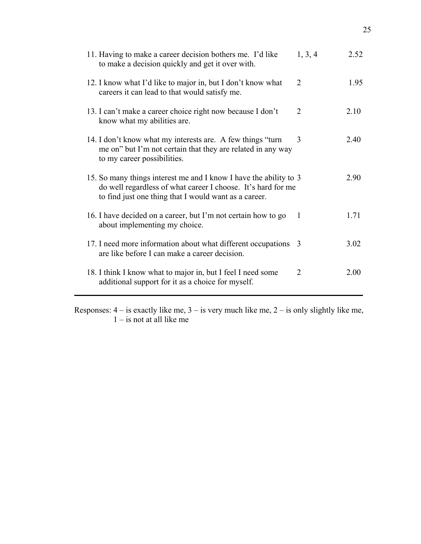| 11. Having to make a career decision bothers me. I'd like<br>to make a decision quickly and get it over with.                                                                              | 1, 3, 4        | 2.52 |
|--------------------------------------------------------------------------------------------------------------------------------------------------------------------------------------------|----------------|------|
| 12. I know what I'd like to major in, but I don't know what<br>careers it can lead to that would satisfy me.                                                                               | $\overline{2}$ | 1.95 |
| 13. I can't make a career choice right now because I don't<br>know what my abilities are.                                                                                                  | $\overline{2}$ | 2.10 |
| 14. I don't know what my interests are. A few things "turn"<br>me on" but I'm not certain that they are related in any way<br>to my career possibilities.                                  | 3              | 2.40 |
| 15. So many things interest me and I know I have the ability to 3<br>do well regardless of what career I choose. It's hard for me<br>to find just one thing that I would want as a career. |                | 2.90 |
| 16. I have decided on a career, but I'm not certain how to go<br>about implementing my choice.                                                                                             | 1              | 1.71 |
| 17. I need more information about what different occupations<br>are like before I can make a career decision.                                                                              | 3              | 3.02 |
| 18. I think I know what to major in, but I feel I need some<br>additional support for it as a choice for myself.                                                                           | $\overline{2}$ | 2.00 |

Responses:  $4 - i$ s exactly like me,  $3 - i$ s very much like me,  $2 - i$ s only slightly like me,  $1 -$  is not at all like me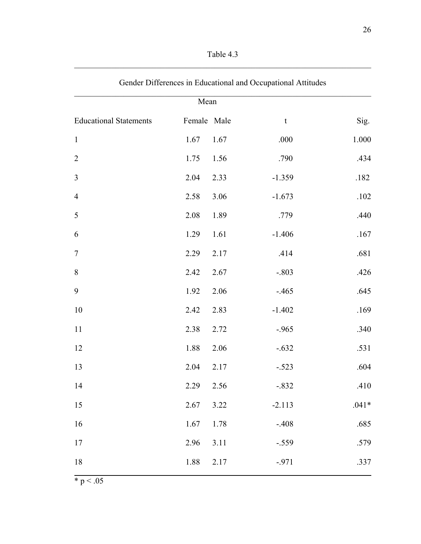| Table 4.3 |  |
|-----------|--|
|           |  |

| Mean                          |             |      |             |         |  |
|-------------------------------|-------------|------|-------------|---------|--|
| <b>Educational Statements</b> | Female Male |      | $\mathbf t$ | Sig.    |  |
| $\mathbf{1}$                  | 1.67        | 1.67 | .000        | 1.000   |  |
| $\overline{2}$                | 1.75        | 1.56 | .790        | .434    |  |
| $\overline{3}$                | 2.04        | 2.33 | $-1.359$    | .182    |  |
| $\overline{4}$                | 2.58        | 3.06 | $-1.673$    | .102    |  |
| 5                             | 2.08        | 1.89 | .779        | .440    |  |
| 6                             | 1.29        | 1.61 | $-1.406$    | .167    |  |
| $\overline{7}$                | 2.29        | 2.17 | .414        | .681    |  |
| $\,8\,$                       | 2.42        | 2.67 | $-.803$     | .426    |  |
| $\boldsymbol{9}$              | 1.92        | 2.06 | $-465$      | .645    |  |
| 10                            | 2.42        | 2.83 | $-1.402$    | .169    |  |
| 11                            | 2.38        | 2.72 | $-.965$     | .340    |  |
| 12                            | 1.88        | 2.06 | $-.632$     | .531    |  |
| 13                            | 2.04        | 2.17 | $-.523$     | .604    |  |
| 14                            | 2.29        | 2.56 | $-.832$     | .410    |  |
| 15                            | 2.67        | 3.22 | $-2.113$    | $.041*$ |  |
| 16                            | 1.67        | 1.78 | $-.408$     | .685    |  |
| 17                            | 2.96        | 3.11 | $-.559$     | .579    |  |
| 18                            | 1.88        | 2.17 | $-971$      | .337    |  |

| Gender Differences in Educational and Occupational Attitudes |  |
|--------------------------------------------------------------|--|
|--------------------------------------------------------------|--|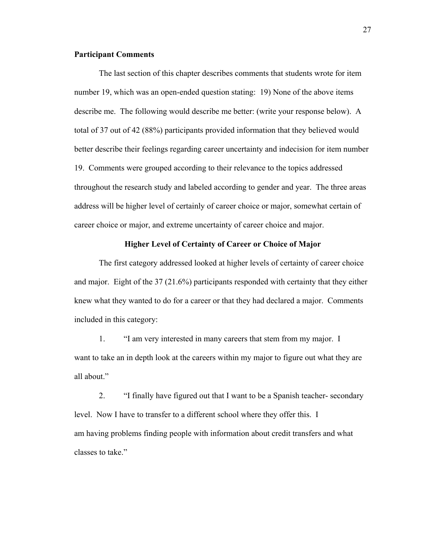### **Participant Comments**

The last section of this chapter describes comments that students wrote for item number 19, which was an open-ended question stating: 19) None of the above items describe me. The following would describe me better: (write your response below). A total of 37 out of 42 (88%) participants provided information that they believed would better describe their feelings regarding career uncertainty and indecision for item number 19. Comments were grouped according to their relevance to the topics addressed throughout the research study and labeled according to gender and year. The three areas address will be higher level of certainly of career choice or major, somewhat certain of career choice or major, and extreme uncertainty of career choice and major.

### **Higher Level of Certainty of Career or Choice of Major**

The first category addressed looked at higher levels of certainty of career choice and major. Eight of the 37 (21.6%) participants responded with certainty that they either knew what they wanted to do for a career or that they had declared a major. Comments included in this category:

1. "I am very interested in many careers that stem from my major. I want to take an in depth look at the careers within my major to figure out what they are all about."

2. "I finally have figured out that I want to be a Spanish teacher- secondary level. Now I have to transfer to a different school where they offer this. I am having problems finding people with information about credit transfers and what classes to take."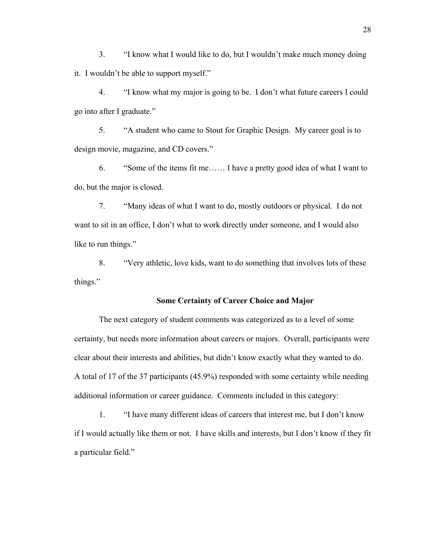3. "I know what I would like to do, but I wouldn't make much money doing it. I wouldn't be able to support myself."

 4. "I know what my major is going to be. I don't what future careers I could go into after I graduate."

 5. "A student who came to Stout for Graphic Design. My career goal is to design movie, magazine, and CD covers."

 6. "Some of the items fit me…… I have a pretty good idea of what I want to do, but the major is closed.

 7. "Many ideas of what I want to do, mostly outdoors or physical. I do not want to sit in an office, I don't what to work directly under someone, and I would also like to run things."

 8. "Very athletic, love kids, want to do something that involves lots of these things."

#### **Some Certainty of Career Choice and Major**

The next category of student comments was categorized as to a level of some certainty, but needs more information about careers or majors. Overall, participants were clear about their interests and abilities, but didn't know exactly what they wanted to do. A total of 17 of the 37 participants (45.9%) responded with some certainty while needing additional information or career guidance. Comments included in this category:

 1. "I have many different ideas of careers that interest me, but I don't know if I would actually like them or not. I have skills and interests, but I don't know if they fit a particular field."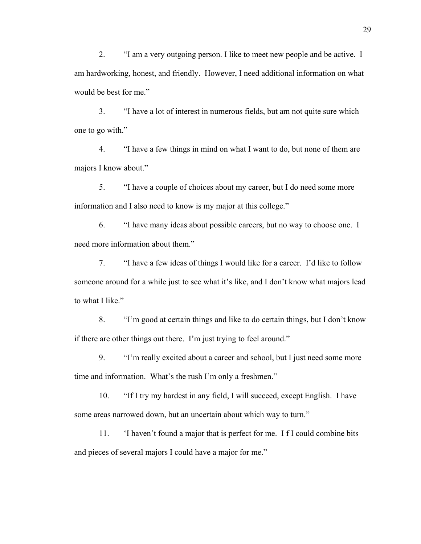2. "I am a very outgoing person. I like to meet new people and be active. I am hardworking, honest, and friendly. However, I need additional information on what would be best for me."

 3. "I have a lot of interest in numerous fields, but am not quite sure which one to go with."

 4. "I have a few things in mind on what I want to do, but none of them are majors I know about."

 5. "I have a couple of choices about my career, but I do need some more information and I also need to know is my major at this college."

 6. "I have many ideas about possible careers, but no way to choose one. I need more information about them."

 7. "I have a few ideas of things I would like for a career. I'd like to follow someone around for a while just to see what it's like, and I don't know what majors lead to what I like."

 8. "I'm good at certain things and like to do certain things, but I don't know if there are other things out there. I'm just trying to feel around."

 9. "I'm really excited about a career and school, but I just need some more time and information. What's the rush I'm only a freshmen."

 10. "If I try my hardest in any field, I will succeed, except English. I have some areas narrowed down, but an uncertain about which way to turn."

 11. 'I haven't found a major that is perfect for me. I f I could combine bits and pieces of several majors I could have a major for me."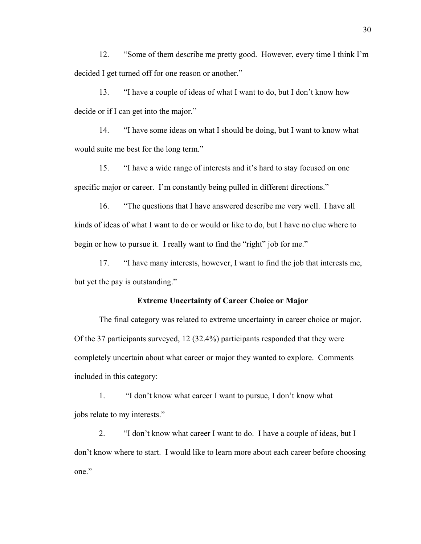12. "Some of them describe me pretty good. However, every time I think I'm decided I get turned off for one reason or another."

 13. "I have a couple of ideas of what I want to do, but I don't know how decide or if I can get into the major."

 14. "I have some ideas on what I should be doing, but I want to know what would suite me best for the long term."

 15. "I have a wide range of interests and it's hard to stay focused on one specific major or career. I'm constantly being pulled in different directions."

 16. "The questions that I have answered describe me very well. I have all kinds of ideas of what I want to do or would or like to do, but I have no clue where to begin or how to pursue it. I really want to find the "right" job for me."

 17. "I have many interests, however, I want to find the job that interests me, but yet the pay is outstanding."

#### **Extreme Uncertainty of Career Choice or Major**

The final category was related to extreme uncertainty in career choice or major. Of the 37 participants surveyed, 12 (32.4%) participants responded that they were completely uncertain about what career or major they wanted to explore. Comments included in this category:

1. "I don't know what career I want to pursue, I don't know what jobs relate to my interests."

 2. "I don't know what career I want to do. I have a couple of ideas, but I don't know where to start. I would like to learn more about each career before choosing one."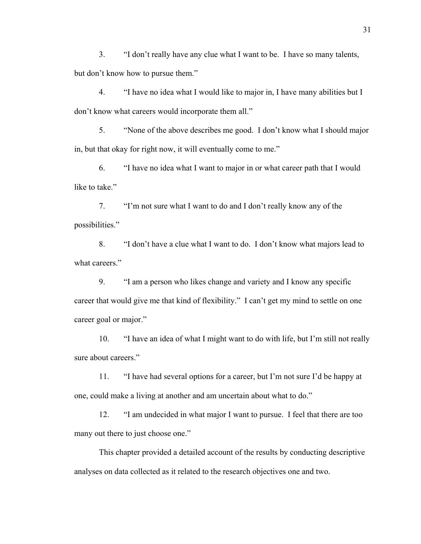3. "I don't really have any clue what I want to be. I have so many talents, but don't know how to pursue them."

 4. "I have no idea what I would like to major in, I have many abilities but I don't know what careers would incorporate them all."

 5. "None of the above describes me good. I don't know what I should major in, but that okay for right now, it will eventually come to me."

 6. "I have no idea what I want to major in or what career path that I would like to take."

 7. "I'm not sure what I want to do and I don't really know any of the possibilities."

 8. "I don't have a clue what I want to do. I don't know what majors lead to what careers."

 9. "I am a person who likes change and variety and I know any specific career that would give me that kind of flexibility." I can't get my mind to settle on one career goal or major."

 10. "I have an idea of what I might want to do with life, but I'm still not really sure about careers."

 11. "I have had several options for a career, but I'm not sure I'd be happy at one, could make a living at another and am uncertain about what to do."

 12. "I am undecided in what major I want to pursue. I feel that there are too many out there to just choose one."

 This chapter provided a detailed account of the results by conducting descriptive analyses on data collected as it related to the research objectives one and two.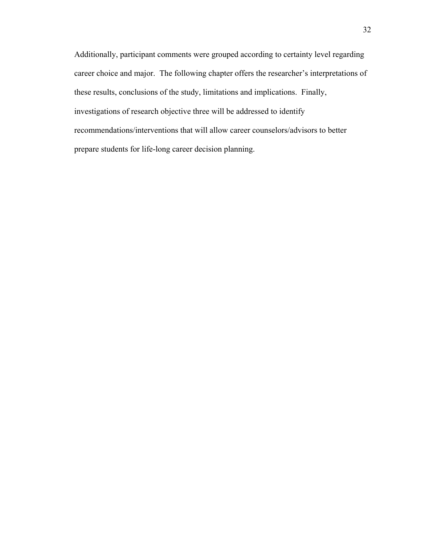Additionally, participant comments were grouped according to certainty level regarding career choice and major. The following chapter offers the researcher's interpretations of these results, conclusions of the study, limitations and implications. Finally, investigations of research objective three will be addressed to identify recommendations/interventions that will allow career counselors/advisors to better prepare students for life-long career decision planning.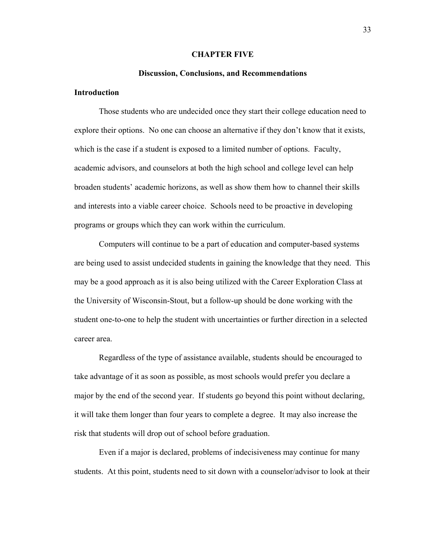#### **CHAPTER FIVE**

#### **Discussion, Conclusions, and Recommendations**

## **Introduction**

Those students who are undecided once they start their college education need to explore their options. No one can choose an alternative if they don't know that it exists, which is the case if a student is exposed to a limited number of options. Faculty, academic advisors, and counselors at both the high school and college level can help broaden students' academic horizons, as well as show them how to channel their skills and interests into a viable career choice. Schools need to be proactive in developing programs or groups which they can work within the curriculum.

Computers will continue to be a part of education and computer-based systems are being used to assist undecided students in gaining the knowledge that they need. This may be a good approach as it is also being utilized with the Career Exploration Class at the University of Wisconsin-Stout, but a follow-up should be done working with the student one-to-one to help the student with uncertainties or further direction in a selected career area.

Regardless of the type of assistance available, students should be encouraged to take advantage of it as soon as possible, as most schools would prefer you declare a major by the end of the second year. If students go beyond this point without declaring, it will take them longer than four years to complete a degree. It may also increase the risk that students will drop out of school before graduation.

 Even if a major is declared, problems of indecisiveness may continue for many students. At this point, students need to sit down with a counselor/advisor to look at their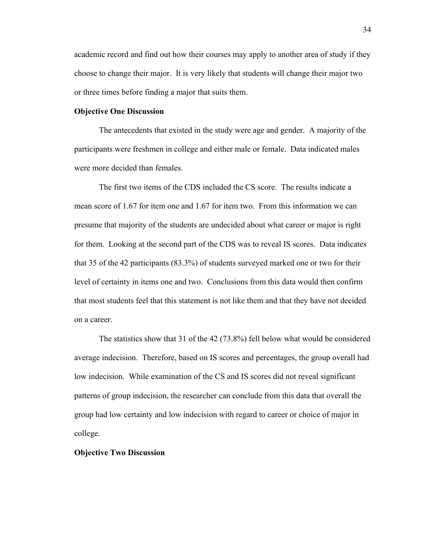academic record and find out how their courses may apply to another area of study if they choose to change their major. It is very likely that students will change their major two or three times before finding a major that suits them.

#### **Objective One Discussion**

The antecedents that existed in the study were age and gender. A majority of the participants were freshmen in college and either male or female. Data indicated males were more decided than females.

The first two items of the CDS included the CS score. The results indicate a mean score of 1.67 for item one and 1.67 for item two. From this information we can presume that majority of the students are undecided about what career or major is right for them. Looking at the second part of the CDS was to reveal IS scores. Data indicates that 35 of the 42 participants (83.3%) of students surveyed marked one or two for their level of certainty in items one and two. Conclusions from this data would then confirm that most students feel that this statement is not like them and that they have not decided on a career.

 The statistics show that 31 of the 42 (73.8%) fell below what would be considered average indecision. Therefore, based on IS scores and percentages, the group overall had low indecision. While examination of the CS and IS scores did not reveal significant patterns of group indecision, the researcher can conclude from this data that overall the group had low certainty and low indecision with regard to career or choice of major in college.

#### **Objective Two Discussion**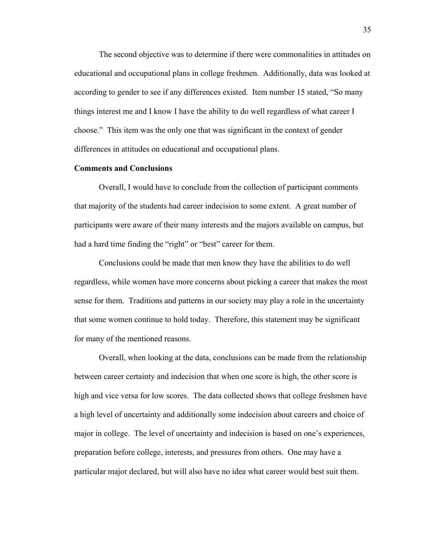The second objective was to determine if there were commonalities in attitudes on educational and occupational plans in college freshmen. Additionally, data was looked at according to gender to see if any differences existed. Item number 15 stated, "So many things interest me and I know I have the ability to do well regardless of what career I choose." This item was the only one that was significant in the context of gender differences in attitudes on educational and occupational plans.

#### **Comments and Conclusions**

Overall, I would have to conclude from the collection of participant comments that majority of the students had career indecision to some extent. A great number of participants were aware of their many interests and the majors available on campus, but had a hard time finding the "right" or "best" career for them.

Conclusions could be made that men know they have the abilities to do well regardless, while women have more concerns about picking a career that makes the most sense for them. Traditions and patterns in our society may play a role in the uncertainty that some women continue to hold today. Therefore, this statement may be significant for many of the mentioned reasons.

 Overall, when looking at the data, conclusions can be made from the relationship between career certainty and indecision that when one score is high, the other score is high and vice versa for low scores. The data collected shows that college freshmen have a high level of uncertainty and additionally some indecision about careers and choice of major in college. The level of uncertainty and indecision is based on one's experiences, preparation before college, interests, and pressures from others. One may have a particular major declared, but will also have no idea what career would best suit them.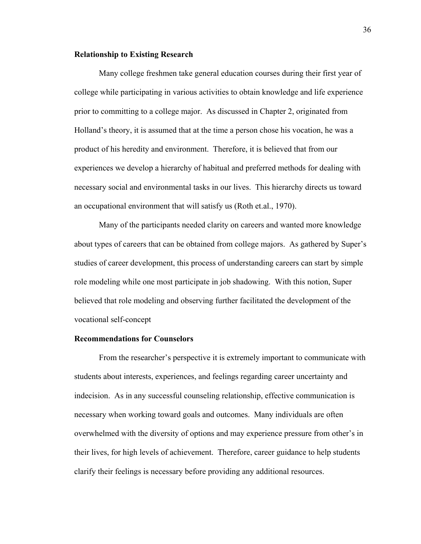#### **Relationship to Existing Research**

Many college freshmen take general education courses during their first year of college while participating in various activities to obtain knowledge and life experience prior to committing to a college major. As discussed in Chapter 2, originated from Holland's theory, it is assumed that at the time a person chose his vocation, he was a product of his heredity and environment. Therefore, it is believed that from our experiences we develop a hierarchy of habitual and preferred methods for dealing with necessary social and environmental tasks in our lives. This hierarchy directs us toward an occupational environment that will satisfy us (Roth et.al., 1970).

 Many of the participants needed clarity on careers and wanted more knowledge about types of careers that can be obtained from college majors. As gathered by Super's studies of career development, this process of understanding careers can start by simple role modeling while one most participate in job shadowing. With this notion, Super believed that role modeling and observing further facilitated the development of the vocational self-concept

#### **Recommendations for Counselors**

From the researcher's perspective it is extremely important to communicate with students about interests, experiences, and feelings regarding career uncertainty and indecision. As in any successful counseling relationship, effective communication is necessary when working toward goals and outcomes. Many individuals are often overwhelmed with the diversity of options and may experience pressure from other's in their lives, for high levels of achievement. Therefore, career guidance to help students clarify their feelings is necessary before providing any additional resources.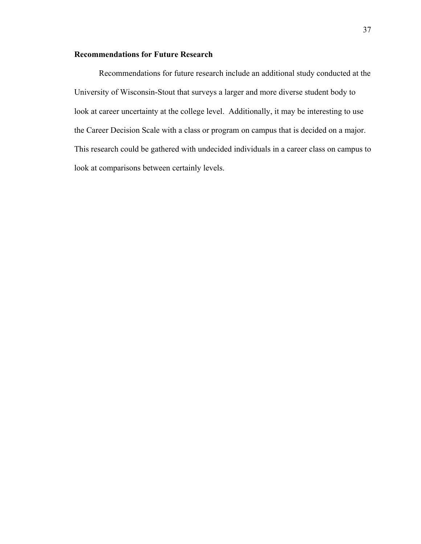# **Recommendations for Future Research**

 Recommendations for future research include an additional study conducted at the University of Wisconsin-Stout that surveys a larger and more diverse student body to look at career uncertainty at the college level. Additionally, it may be interesting to use the Career Decision Scale with a class or program on campus that is decided on a major. This research could be gathered with undecided individuals in a career class on campus to look at comparisons between certainly levels.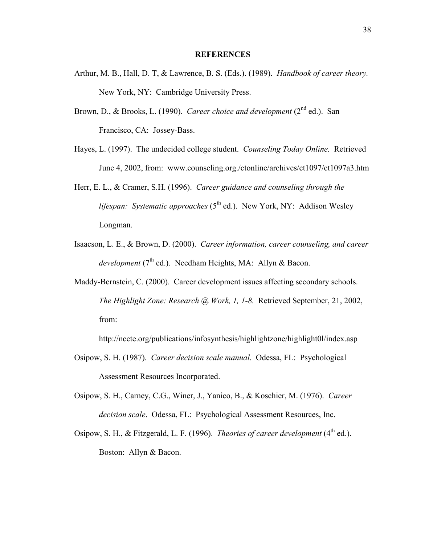#### **REFERENCES**

- Arthur, M. B., Hall, D. T, & Lawrence, B. S. (Eds.). (1989). *Handbook of career theory.*  New York, NY: Cambridge University Press.
- Brown, D., & Brooks, L. (1990). *Career choice and development* (2<sup>nd</sup> ed.). San Francisco, CA: Jossey-Bass.
- Hayes, L. (1997). The undecided college student. *Counseling Today Online.* Retrieved June 4, 2002, from: www.counseling.org./ctonline/archives/ct1097/ct1097a3.htm
- Herr, E. L., & Cramer, S.H. (1996). *Career guidance and counseling through the lifespan: Systematic approaches* (5<sup>th</sup> ed.). New York, NY: Addison Wesley Longman.
- Isaacson, L. E., & Brown, D. (2000). *Career information, career counseling, and career development* (7<sup>th</sup> ed.). Needham Heights, MA: Allyn & Bacon.
- Maddy-Bernstein, C. (2000). Career development issues affecting secondary schools. *The Highlight Zone: Research @ Work, 1, 1-8.* Retrieved September, 21, 2002, from:

http://nccte.org/publications/infosynthesis/highlightzone/highlight0l/index.asp

- Osipow, S. H. (1987). *Career decision scale manual*. Odessa, FL: Psychological Assessment Resources Incorporated.
- Osipow, S. H., Carney, C.G., Winer, J., Yanico, B., & Koschier, M. (1976). *Career decision scale*. Odessa, FL: Psychological Assessment Resources, Inc.
- Osipow, S. H., & Fitzgerald, L. F. (1996). *Theories of career development* (4<sup>th</sup> ed.). Boston: Allyn & Bacon.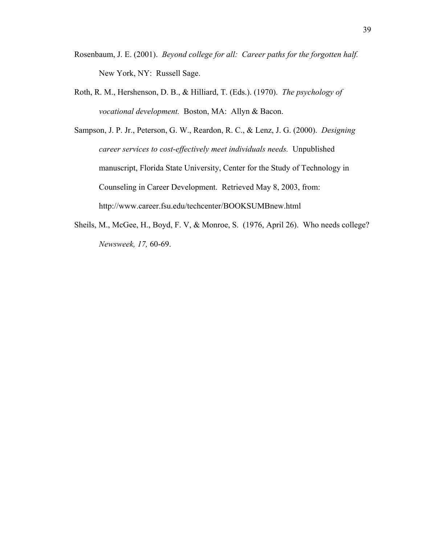- Rosenbaum, J. E. (2001). *Beyond college for all: Career paths for the forgotten half.* New York, NY: Russell Sage.
- Roth, R. M., Hershenson, D. B., & Hilliard, T. (Eds.). (1970). *The psychology of vocational development.* Boston, MA: Allyn & Bacon.
- Sampson, J. P. Jr., Peterson, G. W., Reardon, R. C., & Lenz, J. G. (2000). *Designing career services to cost-effectively meet individuals needs.* Unpublished manuscript, Florida State University, Center for the Study of Technology in Counseling in Career Development. Retrieved May 8, 2003, from: http://www.career.fsu.edu/techcenter/BOOKSUMBnew.html
- Sheils, M., McGee, H., Boyd, F. V, & Monroe, S. (1976, April 26). Who needs college? *Newsweek, 17,* 60-69.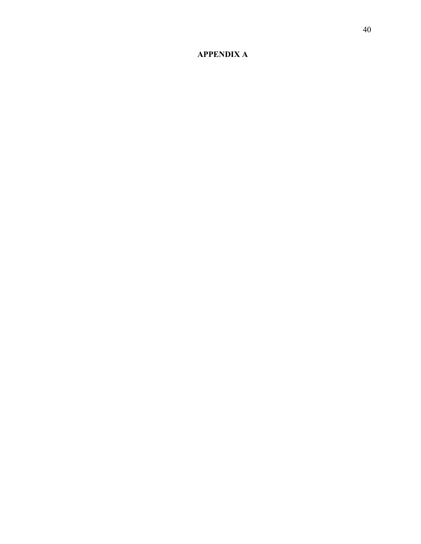# **APPENDIX A**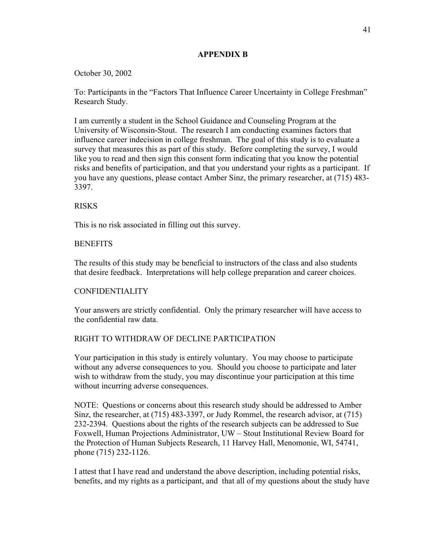# **APPENDIX B**

# October 30, 2002

To: Participants in the "Factors That Influence Career Uncertainty in College Freshman" Research Study.

I am currently a student in the School Guidance and Counseling Program at the University of Wisconsin-Stout. The research I am conducting examines factors that influence career indecision in college freshman. The goal of this study is to evaluate a survey that measures this as part of this study. Before completing the survey, I would like you to read and then sign this consent form indicating that you know the potential risks and benefits of participation, and that you understand your rights as a participant. If you have any questions, please contact Amber Sinz, the primary researcher, at (715) 483- 3397.

# RISKS

This is no risk associated in filling out this survey.

# **BENEFITS**

The results of this study may be beneficial to instructors of the class and also students that desire feedback. Interpretations will help college preparation and career choices.

# CONFIDENTIALITY

Your answers are strictly confidential. Only the primary researcher will have access to the confidential raw data.

# RIGHT TO WITHDRAW OF DECLINE PARTICIPATION

Your participation in this study is entirely voluntary. You may choose to participate without any adverse consequences to you. Should you choose to participate and later wish to withdraw from the study, you may discontinue your participation at this time without incurring adverse consequences.

NOTE: Questions or concerns about this research study should be addressed to Amber Sinz, the researcher, at (715) 483-3397, or Judy Rommel, the research advisor, at (715) 232-2394. Questions about the rights of the research subjects can be addressed to Sue Foxwell, Human Projections Administrator, UW – Stout Institutional Review Board for the Protection of Human Subjects Research, 11 Harvey Hall, Menomonie, WI, 54741, phone (715) 232-1126.

I attest that I have read and understand the above description, including potential risks, benefits, and my rights as a participant, and that all of my questions about the study have